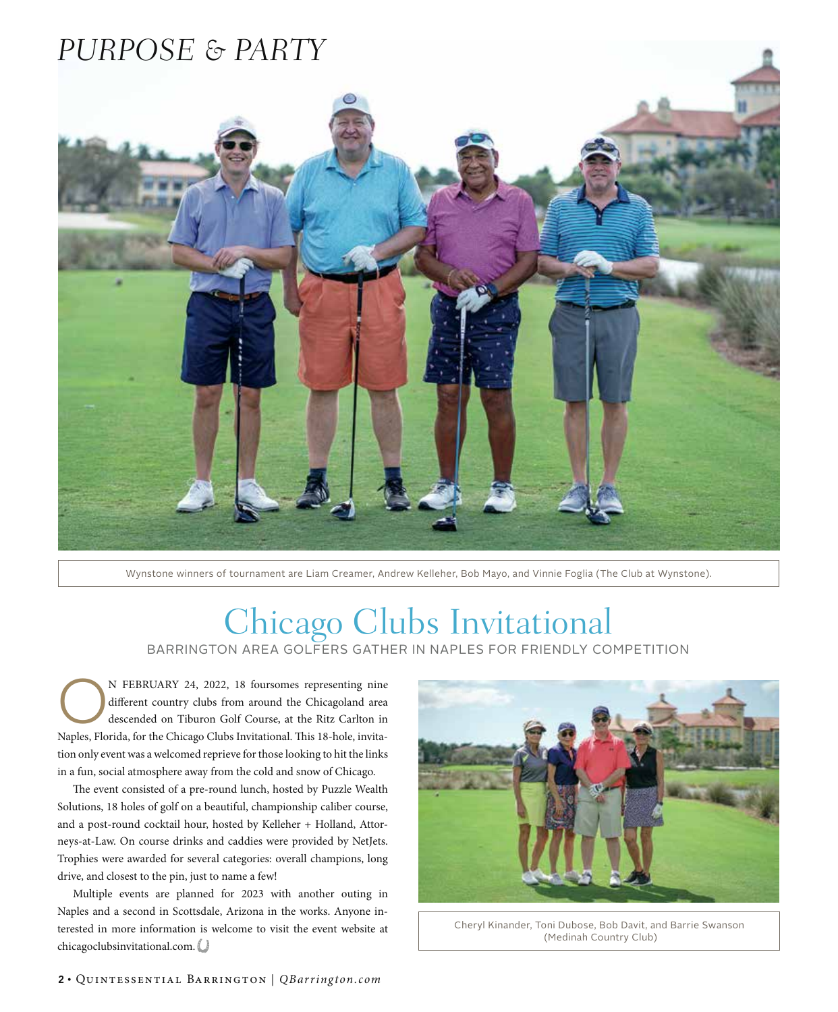## *PURPOSE & PARTY*

Wynstone winners of tournament are Liam Creamer, Andrew Kelleher, Bob Mayo, and Vinnie Foglia (The Club at Wynstone).

## Chicago Clubs Invitational

BARRINGTON AREA GOLFERS GATHER IN NAPLES FOR FRIENDLY COMPETITION

N FEBRUARY 24, 2022, 18 foursomes representing nine<br>different country clubs from around the Chicagoland area<br>descended on Tiburon Golf Course, at the Ritz Carlton in<br>Nurly Flashle for the Chicago Club Institutional Thia 19 different country clubs from around the Chicagoland area Naples, Florida, for the Chicago Clubs Invitational. This 18-hole, invitation only event was a welcomed reprieve for those looking to hit the links in a fun, social atmosphere away from the cold and snow of Chicago.

The event consisted of a pre-round lunch, hosted by Puzzle Wealth Solutions, 18 holes of golf on a beautiful, championship caliber course, and a post-round cocktail hour, hosted by Kelleher + Holland, Attorneys-at-Law. On course drinks and caddies were provided by NetJets. Trophies were awarded for several categories: overall champions, long drive, and closest to the pin, just to name a few!

Multiple events are planned for 2023 with another outing in Naples and a second in Scottsdale, Arizona in the works. Anyone interested in more information is welcome to visit the event website at chicagoclubsinvitational.com.



Cheryl Kinander, Toni Dubose, Bob Davit, and Barrie Swanson (Medinah Country Club)